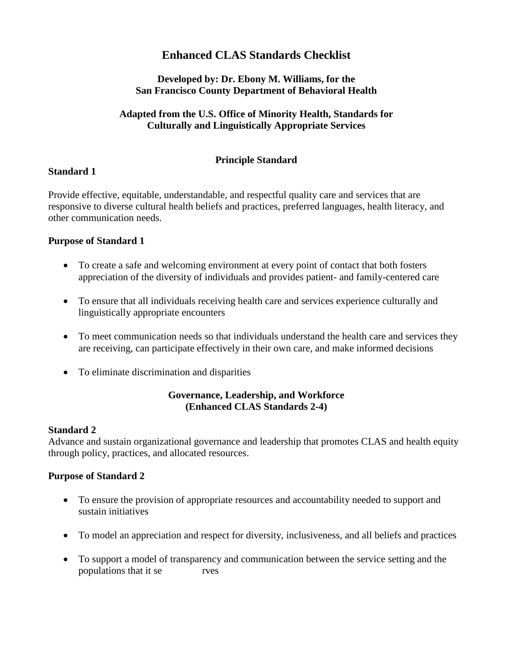# **Enhanced CLAS Standards Checklist**

#### **Developed by: Dr. Ebony M. Williams, for the San Francisco County Department of Behavioral Health**

#### **Adapted from the U.S. Office of Minority Health, Standards for Culturally and Linguistically Appropriate Services**

### **Principle Standard**

#### **Standard 1**

Provide effective, equitable, understandable, and respectful quality care and services that are responsive to diverse cultural health beliefs and practices, preferred languages, health literacy, and other communication needs.

#### **Purpose of Standard 1**

- To create a safe and welcoming environment at every point of contact that both fosters appreciation of the diversity of individuals and provides patient- and family-centered care
- To ensure that all individuals receiving health care and services experience culturally and linguistically appropriate encounters
- To meet communication needs so that individuals understand the health care and services they are receiving, can participate effectively in their own care, and make informed decisions
- To eliminate discrimination and disparities

#### **Governance, Leadership, and Workforce (Enhanced CLAS Standards 2-4)**

#### **Standard 2**

Advance and sustain organizational governance and leadership that promotes CLAS and health equity through policy, practices, and allocated resources.

#### **Purpose of Standard 2**

- To ensure the provision of appropriate resources and accountability needed to support and sustain initiatives
- To model an appreciation and respect for diversity, inclusiveness, and all beliefs and practices
- To support a model of transparency and communication between the service setting and the populations that it se rves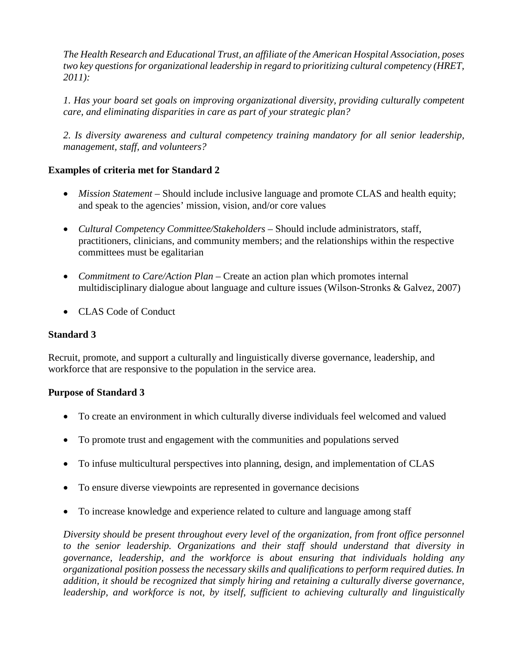*The Health Research and Educational Trust, an affiliate of the American Hospital Association, poses two key questions for organizational leadership in regard to prioritizing cultural competency (HRET, 2011):* 

*1. Has your board set goals on improving organizational diversity, providing culturally competent care, and eliminating disparities in care as part of your strategic plan?* 

*2. Is diversity awareness and cultural competency training mandatory for all senior leadership, management, staff, and volunteers?* 

## **Examples of criteria met for Standard 2**

- *Mission Statement* Should include inclusive language and promote CLAS and health equity; and speak to the agencies' mission, vision, and/or core values
- *Cultural Competency Committee/Stakeholders* Should include administrators, staff, practitioners, clinicians, and community members; and the relationships within the respective committees must be egalitarian
- *Commitment to Care/Action Plan* Create an action plan which promotes internal multidisciplinary dialogue about language and culture issues (Wilson-Stronks & Galvez, 2007)
- CLAS Code of Conduct

#### **Standard 3**

Recruit, promote, and support a culturally and linguistically diverse governance, leadership, and workforce that are responsive to the population in the service area.

#### **Purpose of Standard 3**

- To create an environment in which culturally diverse individuals feel welcomed and valued
- To promote trust and engagement with the communities and populations served
- To infuse multicultural perspectives into planning, design, and implementation of CLAS
- To ensure diverse viewpoints are represented in governance decisions
- To increase knowledge and experience related to culture and language among staff

*Diversity should be present throughout every level of the organization, from front office personnel to the senior leadership. Organizations and their staff should understand that diversity in governance, leadership, and the workforce is about ensuring that individuals holding any organizational position possess the necessary skills and qualifications to perform required duties. In addition, it should be recognized that simply hiring and retaining a culturally diverse governance, leadership, and workforce is not, by itself, sufficient to achieving culturally and linguistically*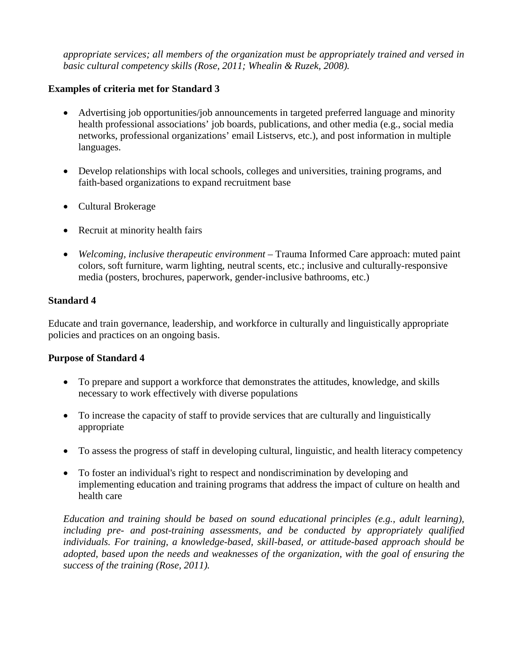*appropriate services; all members of the organization must be appropriately trained and versed in basic cultural competency skills (Rose, 2011; Whealin & Ruzek, 2008).*

#### **Examples of criteria met for Standard 3**

- Advertising job opportunities/job announcements in targeted preferred language and minority health professional associations' job boards, publications, and other media (e.g., social media networks, professional organizations' email Listservs, etc.), and post information in multiple languages.
- Develop relationships with local schools, colleges and universities, training programs, and faith-based organizations to expand recruitment base
- Cultural Brokerage
- Recruit at minority health fairs
- *Welcoming, inclusive therapeutic environment* Trauma Informed Care approach: muted paint colors, soft furniture, warm lighting, neutral scents, etc.; inclusive and culturally-responsive media (posters, brochures, paperwork, gender-inclusive bathrooms, etc.)

#### **Standard 4**

Educate and train governance, leadership, and workforce in culturally and linguistically appropriate policies and practices on an ongoing basis.

#### **Purpose of Standard 4**

- To prepare and support a workforce that demonstrates the attitudes, knowledge, and skills necessary to work effectively with diverse populations
- To increase the capacity of staff to provide services that are culturally and linguistically appropriate
- To assess the progress of staff in developing cultural, linguistic, and health literacy competency
- To foster an individual's right to respect and nondiscrimination by developing and implementing education and training programs that address the impact of culture on health and health care

*Education and training should be based on sound educational principles (e.g., adult learning), including pre- and post-training assessments, and be conducted by appropriately qualified individuals. For training, a knowledge-based, skill-based, or attitude-based approach should be adopted, based upon the needs and weaknesses of the organization, with the goal of ensuring the success of the training (Rose, 2011).*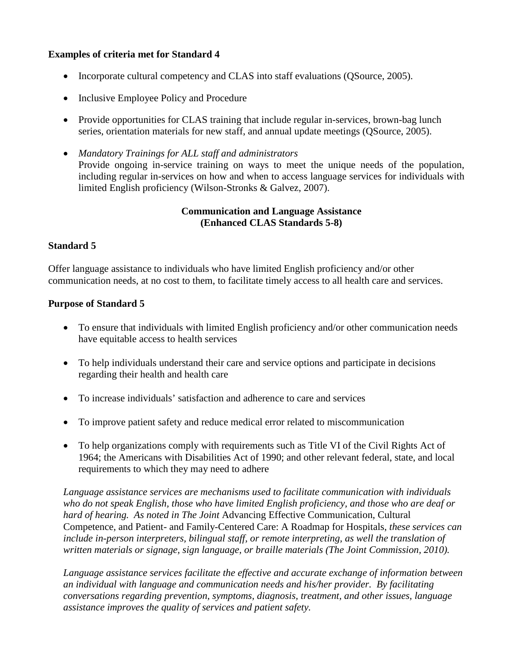### **Examples of criteria met for Standard 4**

- Incorporate cultural competency and CLAS into staff evaluations (QSource, 2005).
- Inclusive Employee Policy and Procedure
- Provide opportunities for CLAS training that include regular in-services, brown-bag lunch series, orientation materials for new staff, and annual update meetings (QSource, 2005).
- *Mandatory Trainings for ALL staff and administrators* Provide ongoing in-service training on ways to meet the unique needs of the population, including regular in-services on how and when to access language services for individuals with limited English proficiency (Wilson-Stronks & Galvez, 2007).

#### **Communication and Language Assistance (Enhanced CLAS Standards 5-8)**

#### **Standard 5**

Offer language assistance to individuals who have limited English proficiency and/or other communication needs, at no cost to them, to facilitate timely access to all health care and services.

## **Purpose of Standard 5**

- To ensure that individuals with limited English proficiency and/or other communication needs have equitable access to health services
- To help individuals understand their care and service options and participate in decisions regarding their health and health care
- To increase individuals' satisfaction and adherence to care and services
- To improve patient safety and reduce medical error related to miscommunication
- To help organizations comply with requirements such as Title VI of the Civil Rights Act of 1964; the Americans with Disabilities Act of 1990; and other relevant federal, state, and local requirements to which they may need to adhere

*Language assistance services are mechanisms used to facilitate communication with individuals who do not speak English, those who have limited English proficiency, and those who are deaf or hard of hearing. As noted in The Joint* Advancing Effective Communication, Cultural Competence, and Patient- and Family-Centered Care: A Roadmap for Hospitals, *these services can include in-person interpreters, bilingual staff, or remote interpreting, as well the translation of written materials or signage, sign language, or braille materials (The Joint Commission, 2010).* 

*Language assistance services facilitate the effective and accurate exchange of information between an individual with language and communication needs and his/her provider. By facilitating conversations regarding prevention, symptoms, diagnosis, treatment, and other issues, language assistance improves the quality of services and patient safety.*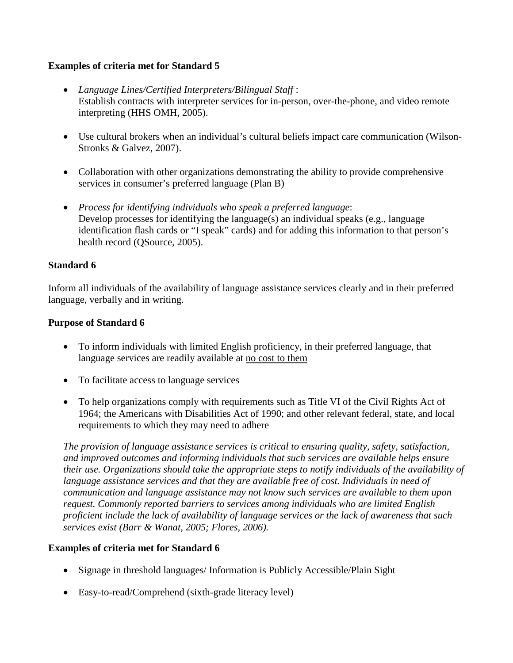#### **Examples of criteria met for Standard 5**

- *Language Lines/Certified Interpreters/Bilingual Staff* : Establish contracts with interpreter services for in-person, over-the-phone, and video remote interpreting (HHS OMH, 2005).
- Use cultural brokers when an individual's cultural beliefs impact care communication (Wilson-Stronks & Galvez, 2007).
- Collaboration with other organizations demonstrating the ability to provide comprehensive services in consumer's preferred language (Plan B)
- *Process for identifying individuals who speak a preferred language*: Develop processes for identifying the language(s) an individual speaks (e.g., language identification flash cards or "I speak" cards) and for adding this information to that person's health record (QSource, 2005).

#### **Standard 6**

Inform all individuals of the availability of language assistance services clearly and in their preferred language, verbally and in writing.

#### **Purpose of Standard 6**

- To inform individuals with limited English proficiency, in their preferred language, that language services are readily available at no cost to them
- To facilitate access to language services
- To help organizations comply with requirements such as Title VI of the Civil Rights Act of 1964; the Americans with Disabilities Act of 1990; and other relevant federal, state, and local requirements to which they may need to adhere

*The provision of language assistance services is critical to ensuring quality, safety, satisfaction, and improved outcomes and informing individuals that such services are available helps ensure their use. Organizations should take the appropriate steps to notify individuals of the availability of language assistance services and that they are available free of cost. Individuals in need of communication and language assistance may not know such services are available to them upon request. Commonly reported barriers to services among individuals who are limited English proficient include the lack of availability of language services or the lack of awareness that such services exist (Barr & Wanat, 2005; Flores, 2006).*

- Signage in threshold languages/ Information is Publicly Accessible/Plain Sight
- Easy-to-read/Comprehend (sixth-grade literacy level)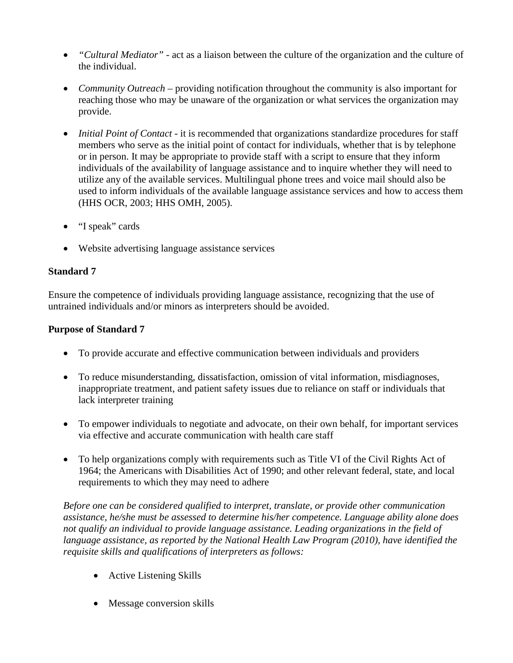- *"Cultural Mediator"* act as a liaison between the culture of the organization and the culture of the individual.
- *Community Outreach* providing notification throughout the community is also important for reaching those who may be unaware of the organization or what services the organization may provide.
- *Initial Point of Contact* it is recommended that organizations standardize procedures for staff members who serve as the initial point of contact for individuals, whether that is by telephone or in person. It may be appropriate to provide staff with a script to ensure that they inform individuals of the availability of language assistance and to inquire whether they will need to utilize any of the available services. Multilingual phone trees and voice mail should also be used to inform individuals of the available language assistance services and how to access them (HHS OCR, 2003; HHS OMH, 2005).
- "I speak" cards
- Website advertising language assistance services

## **Standard 7**

Ensure the competence of individuals providing language assistance, recognizing that the use of untrained individuals and/or minors as interpreters should be avoided.

## **Purpose of Standard 7**

- To provide accurate and effective communication between individuals and providers
- To reduce misunderstanding, dissatisfaction, omission of vital information, misdiagnoses, inappropriate treatment, and patient safety issues due to reliance on staff or individuals that lack interpreter training
- To empower individuals to negotiate and advocate, on their own behalf, for important services via effective and accurate communication with health care staff
- To help organizations comply with requirements such as Title VI of the Civil Rights Act of 1964; the Americans with Disabilities Act of 1990; and other relevant federal, state, and local requirements to which they may need to adhere

*Before one can be considered qualified to interpret, translate, or provide other communication assistance, he/she must be assessed to determine his/her competence. Language ability alone does not qualify an individual to provide language assistance. Leading organizations in the field of language assistance, as reported by the National Health Law Program (2010), have identified the requisite skills and qualifications of interpreters as follows:*

- Active Listening Skills
- Message conversion skills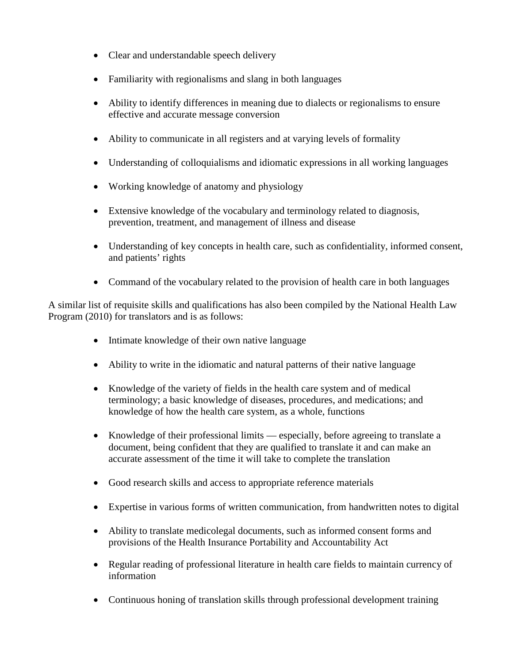- Clear and understandable speech delivery
- Familiarity with regionalisms and slang in both languages
- Ability to identify differences in meaning due to dialects or regionalisms to ensure effective and accurate message conversion
- Ability to communicate in all registers and at varying levels of formality
- Understanding of colloquialisms and idiomatic expressions in all working languages
- Working knowledge of anatomy and physiology
- Extensive knowledge of the vocabulary and terminology related to diagnosis, prevention, treatment, and management of illness and disease
- Understanding of key concepts in health care, such as confidentiality, informed consent, and patients' rights
- Command of the vocabulary related to the provision of health care in both languages

A similar list of requisite skills and qualifications has also been compiled by the National Health Law Program (2010) for translators and is as follows:

- Intimate knowledge of their own native language
- Ability to write in the idiomatic and natural patterns of their native language
- Knowledge of the variety of fields in the health care system and of medical terminology; a basic knowledge of diseases, procedures, and medications; and knowledge of how the health care system, as a whole, functions
- Knowledge of their professional limits especially, before agreeing to translate a document, being confident that they are qualified to translate it and can make an accurate assessment of the time it will take to complete the translation
- Good research skills and access to appropriate reference materials
- Expertise in various forms of written communication, from handwritten notes to digital
- Ability to translate medicolegal documents, such as informed consent forms and provisions of the Health Insurance Portability and Accountability Act
- Regular reading of professional literature in health care fields to maintain currency of information
- Continuous honing of translation skills through professional development training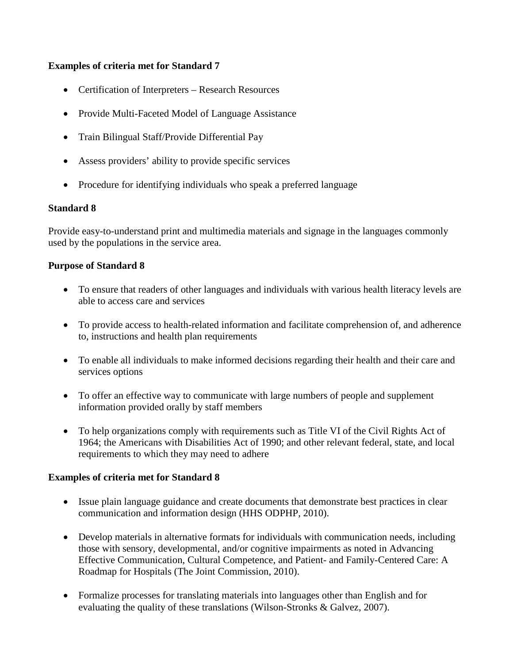#### **Examples of criteria met for Standard 7**

- Certification of Interpreters Research Resources
- Provide Multi-Faceted Model of Language Assistance
- Train Bilingual Staff/Provide Differential Pay
- Assess providers' ability to provide specific services
- Procedure for identifying individuals who speak a preferred language

#### **Standard 8**

Provide easy-to-understand print and multimedia materials and signage in the languages commonly used by the populations in the service area.

#### **Purpose of Standard 8**

- To ensure that readers of other languages and individuals with various health literacy levels are able to access care and services
- To provide access to health-related information and facilitate comprehension of, and adherence to, instructions and health plan requirements
- To enable all individuals to make informed decisions regarding their health and their care and services options
- To offer an effective way to communicate with large numbers of people and supplement information provided orally by staff members
- To help organizations comply with requirements such as Title VI of the Civil Rights Act of 1964; the Americans with Disabilities Act of 1990; and other relevant federal, state, and local requirements to which they may need to adhere

- Issue plain language guidance and create documents that demonstrate best practices in clear communication and information design (HHS ODPHP, 2010).
- Develop materials in alternative formats for individuals with communication needs, including those with sensory, developmental, and/or cognitive impairments as noted in Advancing Effective Communication, Cultural Competence, and Patient- and Family-Centered Care: A Roadmap for Hospitals (The Joint Commission, 2010).
- Formalize processes for translating materials into languages other than English and for evaluating the quality of these translations (Wilson-Stronks & Galvez, 2007).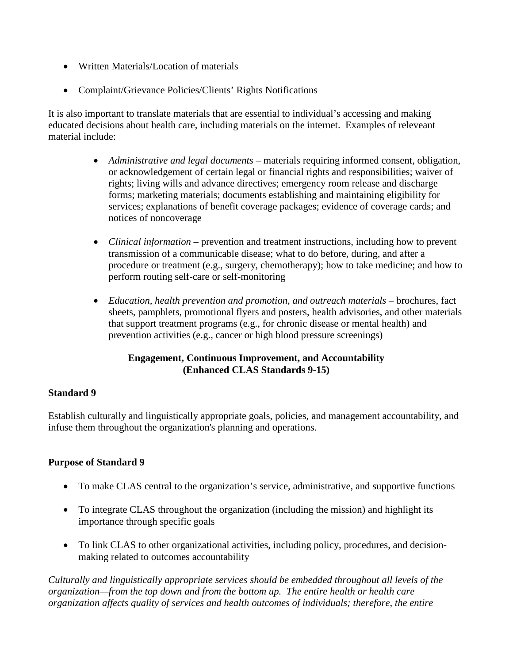- Written Materials/Location of materials
- Complaint/Grievance Policies/Clients' Rights Notifications

It is also important to translate materials that are essential to individual's accessing and making educated decisions about health care, including materials on the internet. Examples of releveant material include:

- *Administrative and legal documents* materials requiring informed consent, obligation, or acknowledgement of certain legal or financial rights and responsibilities; waiver of rights; living wills and advance directives; emergency room release and discharge forms; marketing materials; documents establishing and maintaining eligibility for services; explanations of benefit coverage packages; evidence of coverage cards; and notices of noncoverage
- *Clinical information* prevention and treatment instructions, including how to prevent transmission of a communicable disease; what to do before, during, and after a procedure or treatment (e.g., surgery, chemotherapy); how to take medicine; and how to perform routing self-care or self-monitoring
- *Education, health prevention and promotion, and outreach materials brochures, fact* sheets, pamphlets, promotional flyers and posters, health advisories, and other materials that support treatment programs (e.g., for chronic disease or mental health) and prevention activities (e.g., cancer or high blood pressure screenings)

#### **Engagement, Continuous Improvement, and Accountability (Enhanced CLAS Standards 9-15)**

#### **Standard 9**

Establish culturally and linguistically appropriate goals, policies, and management accountability, and infuse them throughout the organization's planning and operations.

#### **Purpose of Standard 9**

- To make CLAS central to the organization's service, administrative, and supportive functions
- To integrate CLAS throughout the organization (including the mission) and highlight its importance through specific goals
- To link CLAS to other organizational activities, including policy, procedures, and decisionmaking related to outcomes accountability

*Culturally and linguistically appropriate services should be embedded throughout all levels of the organization—from the top down and from the bottom up. The entire health or health care organization affects quality of services and health outcomes of individuals; therefore, the entire*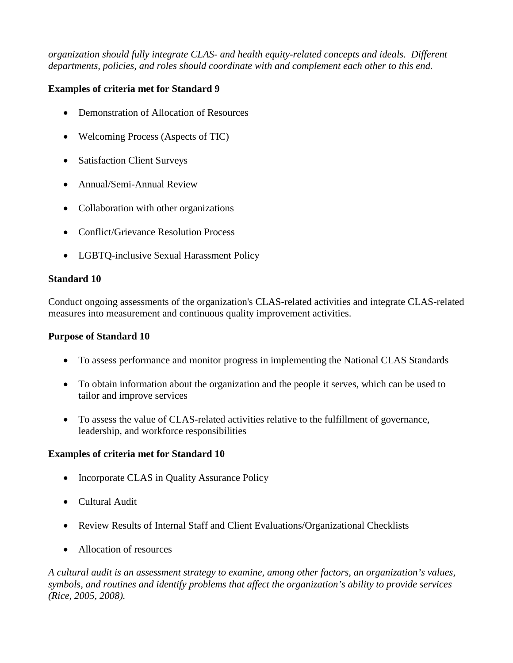*organization should fully integrate CLAS- and health equity-related concepts and ideals. Different departments, policies, and roles should coordinate with and complement each other to this end.*

### **Examples of criteria met for Standard 9**

- Demonstration of Allocation of Resources
- Welcoming Process (Aspects of TIC)
- Satisfaction Client Surveys
- Annual/Semi-Annual Review
- Collaboration with other organizations
- Conflict/Grievance Resolution Process
- LGBTQ-inclusive Sexual Harassment Policy

## **Standard 10**

Conduct ongoing assessments of the organization's CLAS-related activities and integrate CLAS-related measures into measurement and continuous quality improvement activities.

### **Purpose of Standard 10**

- To assess performance and monitor progress in implementing the National CLAS Standards
- To obtain information about the organization and the people it serves, which can be used to tailor and improve services
- To assess the value of CLAS-related activities relative to the fulfillment of governance, leadership, and workforce responsibilities

# **Examples of criteria met for Standard 10**

- Incorporate CLAS in Quality Assurance Policy
- Cultural Audit
- Review Results of Internal Staff and Client Evaluations/Organizational Checklists
- Allocation of resources

*A cultural audit is an assessment strategy to examine, among other factors, an organization's values, symbols, and routines and identify problems that affect the organization's ability to provide services (Rice, 2005, 2008).*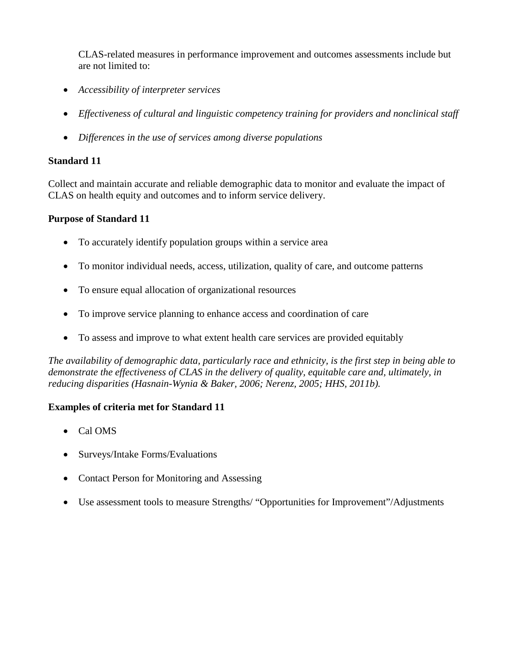CLAS-related measures in performance improvement and outcomes assessments include but are not limited to:

- *Accessibility of interpreter services*
- *Effectiveness of cultural and linguistic competency training for providers and nonclinical staff*
- *Differences in the use of services among diverse populations*

### **Standard 11**

Collect and maintain accurate and reliable demographic data to monitor and evaluate the impact of CLAS on health equity and outcomes and to inform service delivery.

## **Purpose of Standard 11**

- To accurately identify population groups within a service area
- To monitor individual needs, access, utilization, quality of care, and outcome patterns
- To ensure equal allocation of organizational resources
- To improve service planning to enhance access and coordination of care
- To assess and improve to what extent health care services are provided equitably

*The availability of demographic data, particularly race and ethnicity, is the first step in being able to demonstrate the effectiveness of CLAS in the delivery of quality, equitable care and, ultimately, in reducing disparities (Hasnain-Wynia & Baker, 2006; Nerenz, 2005; HHS, 2011b).*

- Cal OMS
- Surveys/Intake Forms/Evaluations
- Contact Person for Monitoring and Assessing
- Use assessment tools to measure Strengths/ "Opportunities for Improvement"/Adjustments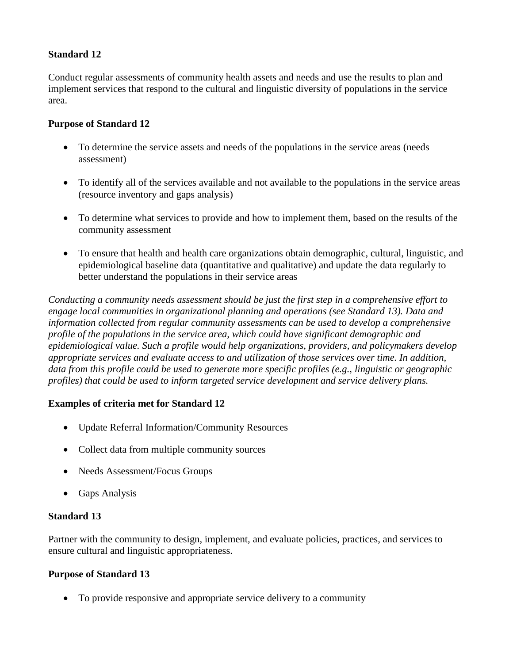### **Standard 12**

Conduct regular assessments of community health assets and needs and use the results to plan and implement services that respond to the cultural and linguistic diversity of populations in the service area.

### **Purpose of Standard 12**

- To determine the service assets and needs of the populations in the service areas (needs assessment)
- To identify all of the services available and not available to the populations in the service areas (resource inventory and gaps analysis)
- To determine what services to provide and how to implement them, based on the results of the community assessment
- To ensure that health and health care organizations obtain demographic, cultural, linguistic, and epidemiological baseline data (quantitative and qualitative) and update the data regularly to better understand the populations in their service areas

*Conducting a community needs assessment should be just the first step in a comprehensive effort to engage local communities in organizational planning and operations (see Standard 13). Data and information collected from regular community assessments can be used to develop a comprehensive profile of the populations in the service area, which could have significant demographic and epidemiological value. Such a profile would help organizations, providers, and policymakers develop appropriate services and evaluate access to and utilization of those services over time. In addition, data from this profile could be used to generate more specific profiles (e.g., linguistic or geographic profiles) that could be used to inform targeted service development and service delivery plans.*

#### **Examples of criteria met for Standard 12**

- Update Referral Information/Community Resources
- Collect data from multiple community sources
- Needs Assessment/Focus Groups
- Gaps Analysis

#### **Standard 13**

Partner with the community to design, implement, and evaluate policies, practices, and services to ensure cultural and linguistic appropriateness.

#### **Purpose of Standard 13**

• To provide responsive and appropriate service delivery to a community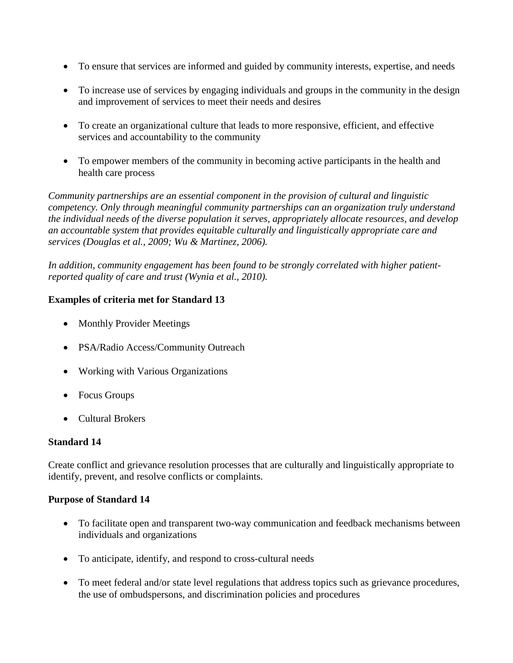- To ensure that services are informed and guided by community interests, expertise, and needs
- To increase use of services by engaging individuals and groups in the community in the design and improvement of services to meet their needs and desires
- To create an organizational culture that leads to more responsive, efficient, and effective services and accountability to the community
- To empower members of the community in becoming active participants in the health and health care process

*Community partnerships are an essential component in the provision of cultural and linguistic competency. Only through meaningful community partnerships can an organization truly understand the individual needs of the diverse population it serves, appropriately allocate resources, and develop an accountable system that provides equitable culturally and linguistically appropriate care and services (Douglas et al., 2009; Wu & Martinez, 2006).*

*In addition, community engagement has been found to be strongly correlated with higher patientreported quality of care and trust (Wynia et al., 2010).*

## **Examples of criteria met for Standard 13**

- Monthly Provider Meetings
- PSA/Radio Access/Community Outreach
- Working with Various Organizations
- Focus Groups
- Cultural Brokers

# **Standard 14**

Create conflict and grievance resolution processes that are culturally and linguistically appropriate to identify, prevent, and resolve conflicts or complaints.

#### **Purpose of Standard 14**

- To facilitate open and transparent two-way communication and feedback mechanisms between individuals and organizations
- To anticipate, identify, and respond to cross-cultural needs
- To meet federal and/or state level regulations that address topics such as grievance procedures, the use of ombudspersons, and discrimination policies and procedures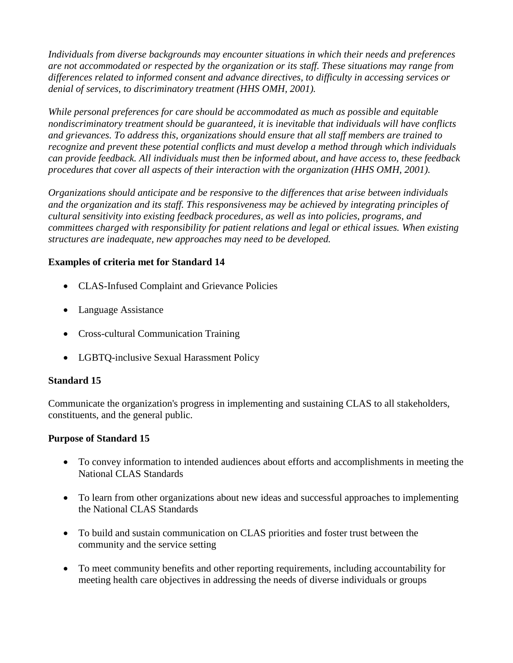*Individuals from diverse backgrounds may encounter situations in which their needs and preferences are not accommodated or respected by the organization or its staff. These situations may range from differences related to informed consent and advance directives, to difficulty in accessing services or denial of services, to discriminatory treatment (HHS OMH, 2001).* 

*While personal preferences for care should be accommodated as much as possible and equitable nondiscriminatory treatment should be guaranteed, it is inevitable that individuals will have conflicts and grievances. To address this, organizations should ensure that all staff members are trained to recognize and prevent these potential conflicts and must develop a method through which individuals can provide feedback. All individuals must then be informed about, and have access to, these feedback procedures that cover all aspects of their interaction with the organization (HHS OMH, 2001).* 

*Organizations should anticipate and be responsive to the differences that arise between individuals and the organization and its staff. This responsiveness may be achieved by integrating principles of cultural sensitivity into existing feedback procedures, as well as into policies, programs, and committees charged with responsibility for patient relations and legal or ethical issues. When existing structures are inadequate, new approaches may need to be developed.*

## **Examples of criteria met for Standard 14**

- CLAS-Infused Complaint and Grievance Policies
- Language Assistance
- Cross-cultural Communication Training
- LGBTQ-inclusive Sexual Harassment Policy

# **Standard 15**

Communicate the organization's progress in implementing and sustaining CLAS to all stakeholders, constituents, and the general public.

# **Purpose of Standard 15**

- To convey information to intended audiences about efforts and accomplishments in meeting the National CLAS Standards
- To learn from other organizations about new ideas and successful approaches to implementing the National CLAS Standards
- To build and sustain communication on CLAS priorities and foster trust between the community and the service setting
- To meet community benefits and other reporting requirements, including accountability for meeting health care objectives in addressing the needs of diverse individuals or groups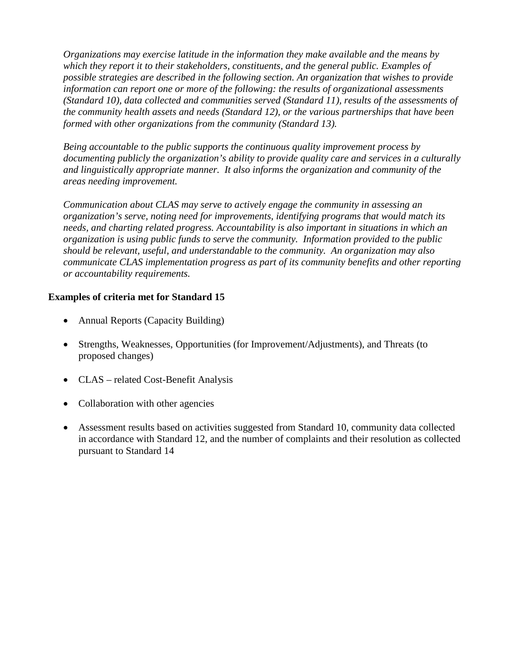*Organizations may exercise latitude in the information they make available and the means by which they report it to their stakeholders, constituents, and the general public. Examples of possible strategies are described in the following section. An organization that wishes to provide information can report one or more of the following: the results of organizational assessments (Standard 10), data collected and communities served (Standard 11), results of the assessments of the community health assets and needs (Standard 12), or the various partnerships that have been formed with other organizations from the community (Standard 13).*

*Being accountable to the public supports the continuous quality improvement process by documenting publicly the organization's ability to provide quality care and services in a culturally and linguistically appropriate manner. It also informs the organization and community of the areas needing improvement.* 

*Communication about CLAS may serve to actively engage the community in assessing an organization's serve, noting need for improvements, identifying programs that would match its needs, and charting related progress. Accountability is also important in situations in which an organization is using public funds to serve the community. Information provided to the public should be relevant, useful, and understandable to the community. An organization may also communicate CLAS implementation progress as part of its community benefits and other reporting or accountability requirements.*

- Annual Reports (Capacity Building)
- Strengths, Weaknesses, Opportunities (for Improvement/Adjustments), and Threats (to proposed changes)
- CLAS related Cost-Benefit Analysis
- Collaboration with other agencies
- Assessment results based on activities suggested from Standard 10, community data collected in accordance with Standard 12, and the number of complaints and their resolution as collected pursuant to Standard 14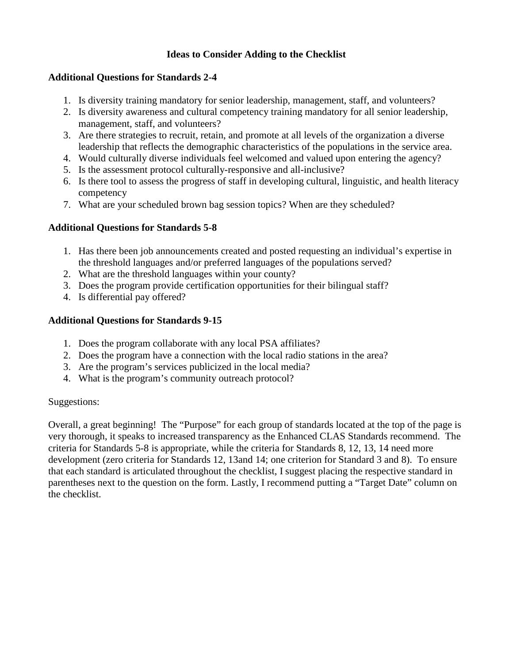### **Ideas to Consider Adding to the Checklist**

### **Additional Questions for Standards 2-4**

- 1. Is diversity training mandatory for senior leadership, management, staff, and volunteers?
- 2. Is diversity awareness and cultural competency training mandatory for all senior leadership, management, staff, and volunteers?
- 3. Are there strategies to recruit, retain, and promote at all levels of the organization a diverse leadership that reflects the demographic characteristics of the populations in the service area.
- 4. Would culturally diverse individuals feel welcomed and valued upon entering the agency?
- 5. Is the assessment protocol culturally-responsive and all-inclusive?
- 6. Is there tool to assess the progress of staff in developing cultural, linguistic, and health literacy competency
- 7. What are your scheduled brown bag session topics? When are they scheduled?

# **Additional Questions for Standards 5-8**

- 1. Has there been job announcements created and posted requesting an individual's expertise in the threshold languages and/or preferred languages of the populations served?
- 2. What are the threshold languages within your county?
- 3. Does the program provide certification opportunities for their bilingual staff?
- 4. Is differential pay offered?

# **Additional Questions for Standards 9-15**

- 1. Does the program collaborate with any local PSA affiliates?
- 2. Does the program have a connection with the local radio stations in the area?
- 3. Are the program's services publicized in the local media?
- 4. What is the program's community outreach protocol?

# Suggestions:

Overall, a great beginning! The "Purpose" for each group of standards located at the top of the page is very thorough, it speaks to increased transparency as the Enhanced CLAS Standards recommend. The criteria for Standards 5-8 is appropriate, while the criteria for Standards 8, 12, 13, 14 need more development (zero criteria for Standards 12, 13and 14; one criterion for Standard 3 and 8). To ensure that each standard is articulated throughout the checklist, I suggest placing the respective standard in parentheses next to the question on the form. Lastly, I recommend putting a "Target Date" column on the checklist.